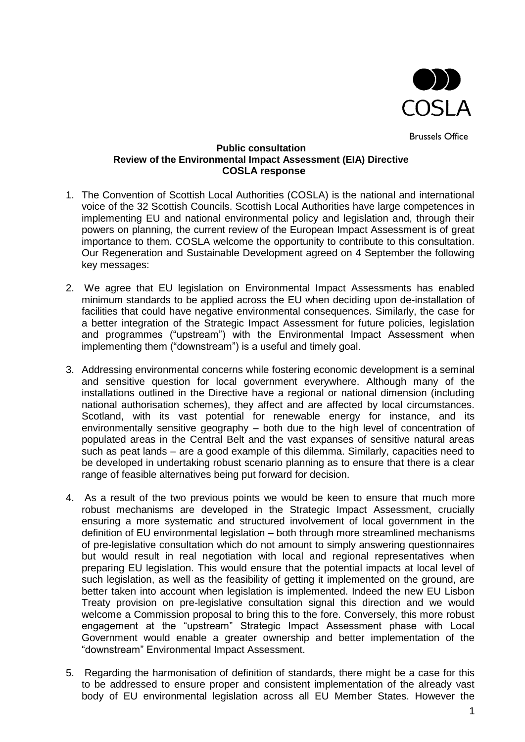

Brussels Office

## **Public consultation Review of the Environmental Impact Assessment (EIA) Directive COSLA response**

- 1. The Convention of Scottish Local Authorities (COSLA) is the national and international voice of the 32 Scottish Councils. Scottish Local Authorities have large competences in implementing EU and national environmental policy and legislation and, through their powers on planning, the current review of the European Impact Assessment is of great importance to them. COSLA welcome the opportunity to contribute to this consultation. Our Regeneration and Sustainable Development agreed on 4 September the following key messages:
- 2. We agree that EU legislation on Environmental Impact Assessments has enabled minimum standards to be applied across the EU when deciding upon de-installation of facilities that could have negative environmental consequences. Similarly, the case for a better integration of the Strategic Impact Assessment for future policies, legislation and programmes ("upstream") with the Environmental Impact Assessment when implementing them ("downstream") is a useful and timely goal.
- 3. Addressing environmental concerns while fostering economic development is a seminal and sensitive question for local government everywhere. Although many of the installations outlined in the Directive have a regional or national dimension (including national authorisation schemes), they affect and are affected by local circumstances. Scotland, with its vast potential for renewable energy for instance, and its environmentally sensitive geography – both due to the high level of concentration of populated areas in the Central Belt and the vast expanses of sensitive natural areas such as peat lands – are a good example of this dilemma. Similarly, capacities need to be developed in undertaking robust scenario planning as to ensure that there is a clear range of feasible alternatives being put forward for decision.
- 4. As a result of the two previous points we would be keen to ensure that much more robust mechanisms are developed in the Strategic Impact Assessment, crucially ensuring a more systematic and structured involvement of local government in the definition of EU environmental legislation – both through more streamlined mechanisms of pre-legislative consultation which do not amount to simply answering questionnaires but would result in real negotiation with local and regional representatives when preparing EU legislation. This would ensure that the potential impacts at local level of such legislation, as well as the feasibility of getting it implemented on the ground, are better taken into account when legislation is implemented. Indeed the new EU Lisbon Treaty provision on pre-legislative consultation signal this direction and we would welcome a Commission proposal to bring this to the fore. Conversely, this more robust engagement at the "upstream" Strategic Impact Assessment phase with Local Government would enable a greater ownership and better implementation of the "downstream" Environmental Impact Assessment.
- 5. Regarding the harmonisation of definition of standards, there might be a case for this to be addressed to ensure proper and consistent implementation of the already vast body of EU environmental legislation across all EU Member States. However the